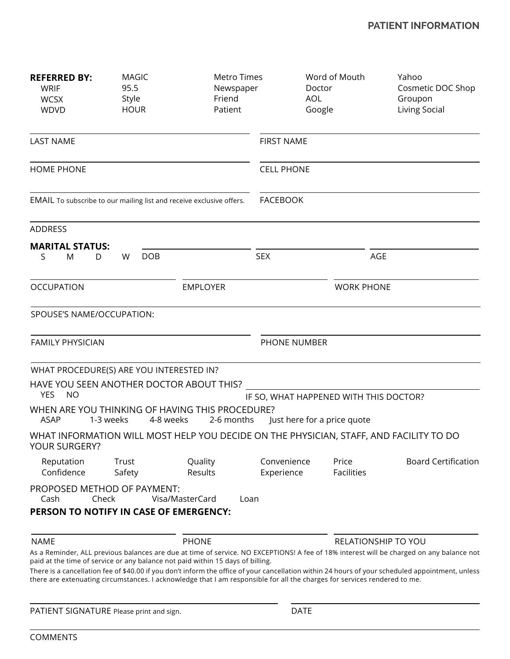| <b>REFERRED BY:</b><br>WRIF<br><b>WCSX</b><br><b>WDVD</b>                     | <b>MAGIC</b><br>95.5<br>Style<br><b>HOUR</b> | Metro Times<br>Newspaper<br>Friend<br>Patient                                                                             | <b>AOL</b>                | Word of Mouth<br>Doctor<br>Google      | Yahoo<br>Cosmetic DOC Shop<br>Groupon<br>Living Social                                                                                           |  |  |
|-------------------------------------------------------------------------------|----------------------------------------------|---------------------------------------------------------------------------------------------------------------------------|---------------------------|----------------------------------------|--------------------------------------------------------------------------------------------------------------------------------------------------|--|--|
| <b>LAST NAME</b><br><b>HOME PHONE</b>                                         |                                              |                                                                                                                           | <b>FIRST NAME</b>         |                                        |                                                                                                                                                  |  |  |
|                                                                               |                                              |                                                                                                                           | <b>CELL PHONE</b>         |                                        |                                                                                                                                                  |  |  |
| EMAIL To subscribe to our mailing list and receive exclusive offers.          |                                              |                                                                                                                           | <b>FACEBOOK</b>           |                                        |                                                                                                                                                  |  |  |
| <b>ADDRESS</b>                                                                |                                              |                                                                                                                           |                           |                                        |                                                                                                                                                  |  |  |
| <b>MARITAL STATUS:</b>                                                        |                                              |                                                                                                                           |                           |                                        |                                                                                                                                                  |  |  |
| S<br>M<br>D                                                                   | <b>DOB</b><br>W                              |                                                                                                                           | <b>SEX</b>                | AGE                                    |                                                                                                                                                  |  |  |
| <b>OCCUPATION</b><br><b>EMPLOYER</b>                                          |                                              |                                                                                                                           | <b>WORK PHONE</b>         |                                        |                                                                                                                                                  |  |  |
| SPOUSE'S NAME/OCCUPATION:                                                     |                                              |                                                                                                                           |                           |                                        |                                                                                                                                                  |  |  |
| <b>FAMILY PHYSICIAN</b>                                                       |                                              |                                                                                                                           | PHONE NUMBER              |                                        |                                                                                                                                                  |  |  |
|                                                                               | WHAT PROCEDURE(S) ARE YOU INTERESTED IN?     |                                                                                                                           |                           |                                        |                                                                                                                                                  |  |  |
| <b>YES</b><br><b>NO</b>                                                       | HAVE YOU SEEN ANOTHER DOCTOR ABOUT THIS?     |                                                                                                                           |                           | IF SO, WHAT HAPPENED WITH THIS DOCTOR? |                                                                                                                                                  |  |  |
| <b>ASAP</b>                                                                   | 1-3 weeks<br>4-8 weeks                       | WHEN ARE YOU THINKING OF HAVING THIS PROCEDURE?<br>2-6 months                                                             |                           | Just here for a price quote            |                                                                                                                                                  |  |  |
| YOUR SURGERY?                                                                 |                                              |                                                                                                                           |                           |                                        | WHAT INFORMATION WILL MOST HELP YOU DECIDE ON THE PHYSICIAN, STAFF, AND FACILITY TO DO                                                           |  |  |
| Reputation<br>Confidence                                                      | Trust<br>Safety                              | Quality<br>Results                                                                                                        | Convenience<br>Experience | Price<br><b>Facilities</b>             | <b>Board Certification</b>                                                                                                                       |  |  |
| PROPOSED METHOD OF PAYMENT:<br>Cash<br>PERSON TO NOTIFY IN CASE OF EMERGENCY: | Check                                        | Visa/MasterCard<br>Loan                                                                                                   |                           |                                        |                                                                                                                                                  |  |  |
| <b>NAME</b>                                                                   |                                              | <b>PHONE</b>                                                                                                              |                           | <b>RELATIONSHIP TO YOU</b>             |                                                                                                                                                  |  |  |
|                                                                               |                                              | paid at the time of service or any balance not paid within 15 days of billing.                                            |                           |                                        | As a Reminder, ALL previous balances are due at time of service. NO EXCEPTIONS! A fee of 18% interest will be charged on any balance not         |  |  |
|                                                                               |                                              | there are extenuating circumstances. I acknowledge that I am responsible for all the charges for services rendered to me. |                           |                                        | There is a cancellation fee of \$40.00 if you don't inform the office of your cancellation within 24 hours of your scheduled appointment, unless |  |  |

PATIENT SIGNATURE Please print and sign. DATE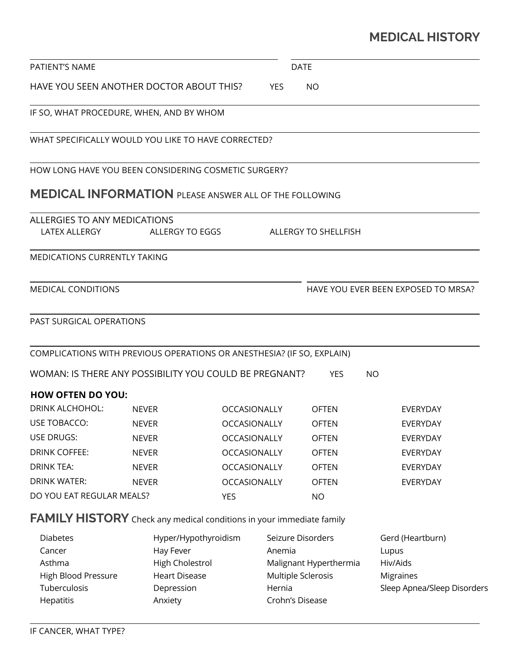# **MEDICAL HISTORY**

| PATIENT'S NAME                                         |                                                                             |                     | <b>DATE</b>                  |                                     |  |  |
|--------------------------------------------------------|-----------------------------------------------------------------------------|---------------------|------------------------------|-------------------------------------|--|--|
| HAVE YOU SEEN ANOTHER DOCTOR ABOUT THIS?<br><b>YES</b> |                                                                             |                     | <b>NO</b>                    |                                     |  |  |
|                                                        | IF SO, WHAT PROCEDURE, WHEN, AND BY WHOM                                    |                     |                              |                                     |  |  |
|                                                        | WHAT SPECIFICALLY WOULD YOU LIKE TO HAVE CORRECTED?                         |                     |                              |                                     |  |  |
|                                                        | HOW LONG HAVE YOU BEEN CONSIDERING COSMETIC SURGERY?                        |                     |                              |                                     |  |  |
|                                                        | <b>MEDICAL INFORMATION</b> PLEASE ANSWER ALL OF THE FOLLOWING               |                     |                              |                                     |  |  |
| ALLERGIES TO ANY MEDICATIONS                           |                                                                             |                     |                              |                                     |  |  |
| LATEX ALLERGY                                          | ALLERGY TO EGGS                                                             |                     | ALLERGY TO SHELLFISH         |                                     |  |  |
| <b>MEDICATIONS CURRENTLY TAKING</b>                    |                                                                             |                     |                              |                                     |  |  |
| MEDICAL CONDITIONS                                     |                                                                             |                     |                              | HAVE YOU EVER BEEN EXPOSED TO MRSA? |  |  |
| PAST SURGICAL OPERATIONS                               |                                                                             |                     |                              |                                     |  |  |
|                                                        | COMPLICATIONS WITH PREVIOUS OPERATIONS OR ANESTHESIA? (IF SO, EXPLAIN)      |                     |                              |                                     |  |  |
|                                                        | WOMAN: IS THERE ANY POSSIBILITY YOU COULD BE PREGNANT?                      |                     | <b>YES</b>                   | <b>NO</b>                           |  |  |
| <b>HOW OFTEN DO YOU:</b>                               |                                                                             |                     |                              |                                     |  |  |
| DRINK ALCHOHOL:                                        | <b>NEVER</b>                                                                | <b>OCCASIONALLY</b> | <b>OFTEN</b>                 | <b>EVERYDAY</b>                     |  |  |
| USE TOBACCO:                                           | <b>NEVER</b>                                                                | OCCASIONALLY        | OFTEN                        | <b>EVERYDAY</b>                     |  |  |
| <b>USE DRUGS:</b>                                      | <b>NEVER</b>                                                                | <b>OCCASIONALLY</b> | <b>OFTEN</b>                 | <b>EVERYDAY</b>                     |  |  |
| <b>DRINK COFFEE:</b>                                   | <b>NEVER</b>                                                                | <b>OCCASIONALLY</b> | <b>OFTEN</b>                 | EVERYDAY                            |  |  |
| <b>DRINK TEA:</b>                                      | <b>NEVER</b>                                                                | OCCASIONALLY        | <b>OFTEN</b>                 | EVERYDAY                            |  |  |
| <b>DRINK WATER:</b>                                    | <b>NEVER</b>                                                                |                     | OCCASIONALLY<br><b>OFTEN</b> | EVERYDAY                            |  |  |
| DO YOU EAT REGULAR MEALS?                              |                                                                             | <b>YES</b>          | <b>NO</b>                    |                                     |  |  |
|                                                        | <b>FAMILY HISTORY</b> Check any medical conditions in your immediate family |                     |                              |                                     |  |  |
| <b>Diabetes</b>                                        | Hyper/Hypothyroidism                                                        |                     | Seizure Disorders            | Gerd (Heartburn)                    |  |  |
| Cancer                                                 | Hay Fever                                                                   |                     | Anemia                       | Lupus                               |  |  |
| High Cholestrol<br>Asthma                              |                                                                             |                     | Malignant Hyperthermia       | Hiv/Aids                            |  |  |
| High Blood Pressure<br><b>Heart Disease</b>            |                                                                             |                     | Multiple Sclerosis           | Migraines                           |  |  |
| Tuberculosis<br>Depression<br>Hepatitis<br>Anxiety     |                                                                             |                     | Hernia<br>Crohn's Disease    | Sleep Apnea/Sleep Disorders         |  |  |